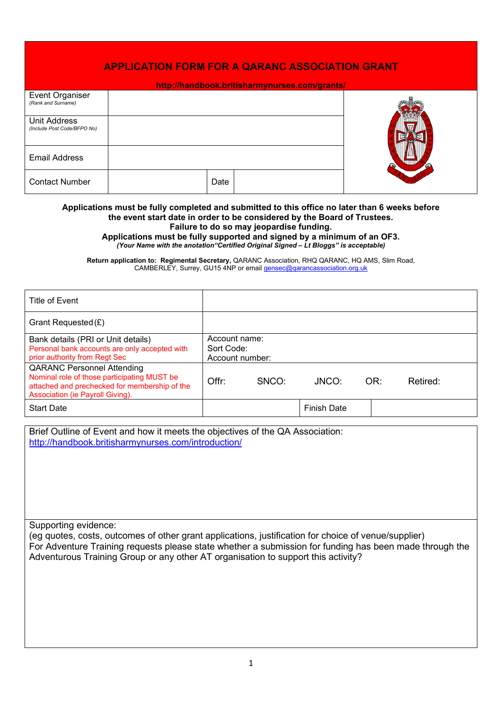| <b>APPLICATION FORM FOR A QARANC ASSOCIATION GRANT</b> |      |  |  |  |  |  |
|--------------------------------------------------------|------|--|--|--|--|--|
| http://handbook.britisharmynurses.com/grants/          |      |  |  |  |  |  |
| Event Organiser<br>(Rank and Surname)                  |      |  |  |  |  |  |
| <b>Unit Address</b><br>(Include Post Code/BFPO No)     |      |  |  |  |  |  |
| <b>Email Address</b>                                   |      |  |  |  |  |  |
| <b>Contact Number</b>                                  | Date |  |  |  |  |  |

#### **Applications must be fully completed and submitted to this office no later than 6 weeks before the event start date in order to be considered by the Board of Trustees. Failure to do so may jeopardise funding.**

**Applications must be fully supported and signed by a minimum of an OF3.** *(Your Name with the anotation"Certified Original Signed – Lt Bloggs" is acceptable)*

**Return application to: Regimental Secretary,** QARANC Association, RHQ QARANC, HQ AMS, Slim Road, CAMBERLEY, Surrey, GU15 4NP or email [gensec@qarancassociation.org.uk](mailto:gensec@qarancassociation.org.uk)

| Title of Event                                                                                                                                                        |                                                |       |                    |     |          |
|-----------------------------------------------------------------------------------------------------------------------------------------------------------------------|------------------------------------------------|-------|--------------------|-----|----------|
| Grant Requested $(E)$                                                                                                                                                 |                                                |       |                    |     |          |
| Bank details (PRI or Unit details)<br>Personal bank accounts are only accepted with<br>prior authority from Regt Sec                                                  | Account name:<br>Sort Code:<br>Account number: |       |                    |     |          |
| <b>QARANC Personnel Attending</b><br>Nominal role of those participating MUST be<br>attached and prechecked for membership of the<br>Association (ie Payroll Giving). | Offr:                                          | SNCO: | JNCO:              | OR: | Retired: |
| <b>Start Date</b>                                                                                                                                                     |                                                |       | <b>Finish Date</b> |     |          |

Brief Outline of Event and how it meets the objectives of the QA Association: <http://handbook.britisharmynurses.com/introduction/>

Supporting evidence:

(eg quotes, costs, outcomes of other grant applications, justification for choice of venue/supplier) For Adventure Training requests please state whether a submission for funding has been made through the Adventurous Training Group or any other AT organisation to support this activity?